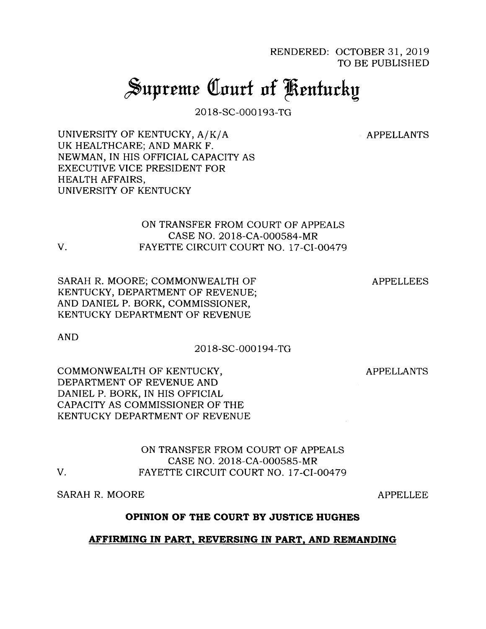RENDERED: OCTOBER 31, 2019 TO BE PUBLISHED

# Supreme Court of Kentucky

2018-SC-000193-TG

APPELLANTS

UNIVERSITY OF KENTUCKY, A/K/A UK HEALTHCARE; AND MARK F. NEWMAN, IN HIS OFFICIAL CAPACITY AS EXECUTIVE VICE PRESIDENT FOR HEALTH AFFAIRS, UNIVERSITY OF KENTUCKY

# ON TRANSFER FROM COURT OF APPEALS CASE NO. 2018-CA-000584-MR V. FAYETTE CIRCUIT COURT NO. 17-CI-00479

SARAH R. MOORE; COMMONWEALTH OF KENTUCKY, DEPARTMENT OF REVENUE; AND DANIEL P. BORK, COMMISSIONER, KENTUCKY DEPARTMENT OF REVENUE

APPELLEES

AND

## 2018-SC-000194-TG

COMMONWEALTH OF KENTUCKY, DEPARTMENT OF REVENUE AND DANIEL P. BORK, IN HIS OFFICIAL CAPACITY AS COMMISSIONER OF THE KENTUCKY DEPARTMENT OF REVENUE

APPELLANTS

ON TRANSFER FROM COURT OF APPEALS CASE NO. 2018-CA-000585-MR V. FAYETTE CIRCUIT COURT NO. 17-CI-00479

SARAH R. MOORE

APPELLEE

## **OPINION OF THE COURT BY JUSTICE HUGHES**

## **AFFIRMING IN PART, REVERSING IN PART, AND REMANDING**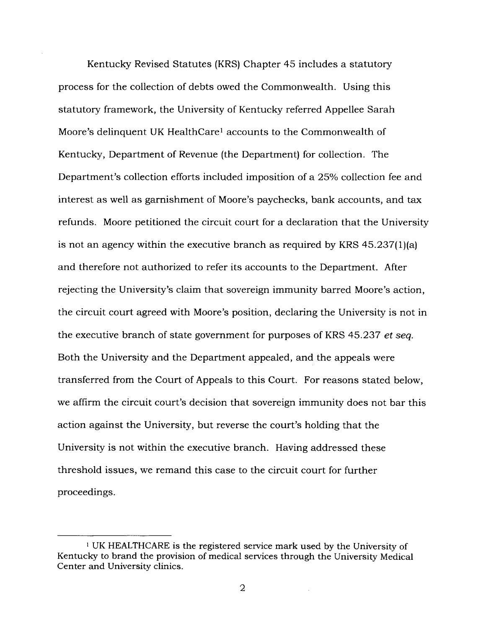Kentucky Revised Statutes (KRS) Chapter 45 includes a statutory process for the collection of debts owed the Commonwealth. Using this statutory framework, the University of Kentucky referred Appellee Sarah Moore's delinquent UK HealthCare<sup>1</sup> accounts to the Commonwealth of Kentucky, Department of Revenue (the Department) for collection. The Department's collection efforts included imposition of a 25% collection fee and interest as well as garnishment of Moore's paychecks, bank accounts, and tax refunds. Moore petitioned the circuit court for a declaration that the University is not an agency within the executive branch as required by KRS 45.237(l)(a) and therefore not authorized to refer its accounts to the Department. After rejecting the University's claim that sovereign immunity barred Moore's action, the circuit court agreed with Moore's position, declaring the University is not in the executive branch of state government for purposes of KRS 45.237 *et seq.* Both the University and the Department appealed, and the appeals were transferred from the Court of Appeals to this Court. For reasons stated below, we affirm the circuit court's decision that sovereign immunity does not bar this action against the University, but reverse the court's holding that the University is not within the executive branch. Having addressed these threshold issues, we remand this case to the circuit court for further proceedings.

<sup>1</sup> UK HEALTHCARE is the registered service mark used by the University of Kentucky to brand the provision of medical services through the University Medical Center and University clinics.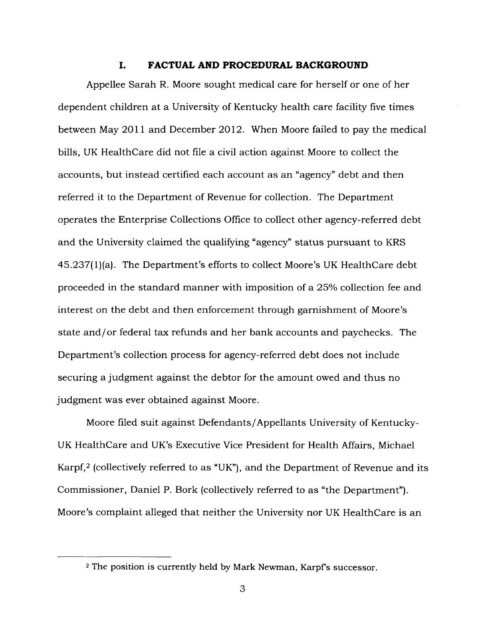#### **I. FACTUAL AND PROCEDURAL BACKGROUND**

Appellee Sarah R. Moore sought medical care for herself or one of her dependent children at a University of Kentucky health care facility five times between May 2011 and December 2012. When Moore failed to pay the medical bills, UK Health Care did not file a civil action against Moore to collect the accounts, but instead certified each account as an "agency" debt and then referred it to the Department of Revenue for collection. The Department operates the Enterprise Collections Office to collect other agency-referred debt and the University claimed the qualifying "agency" status pursuant to KRS 45.237(l)(a). The Department's efforts to collect Moore's UK Healthcare debt proceeded in the standard manner with imposition of a 25% collection fee and interest on the debt and then enforcement through garnishment of Moore's state and/or federal tax refunds and her bank accounts and paychecks. The Department's collection process for agency-referred debt does not include securing a judgment against the debtor for the amount owed and thus no judgment was ever obtained against Moore.

Moore filed suit against Defendants/Appellants University of Kentucky-UK Healthcare and UK's Executive Vice President for Health Affairs, Michael Karpf,<sup>2</sup> (collectively referred to as "UK"), and the Department of Revenue and its Commissioner, Daniel P. Bork (collectively referred to as "the Department"). Moore's complaint alleged that neither the University nor UK Healthcare is an

<sup>&</sup>lt;sup>2</sup> The position is currently held by Mark Newman, Karpf's successor.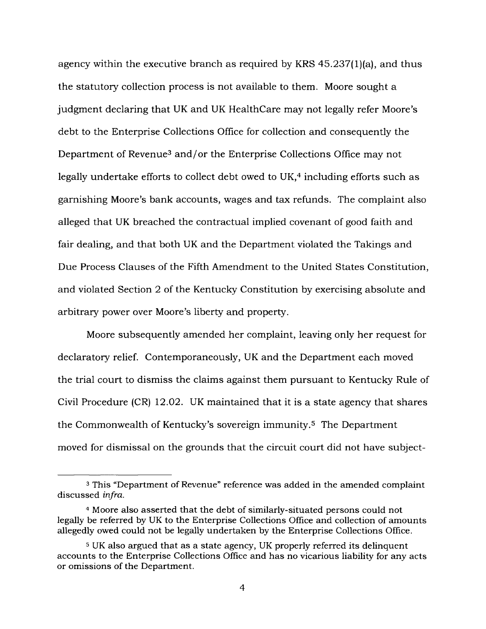agency within the executive branch as required by KRS 45.237(l)(a), and thus the statutory collection process is not available to them. Moore sought a judgment declaring that UK and UK Healthcare may not legally refer Moore's debt to the Enterprise Collections Office for collection and consequently the Department of Revenue<sup>3</sup> and/or the Enterprise Collections Office may not legally undertake efforts to collect debt owed to UK,<sup>4</sup> including efforts such as garnishing Moore's bank accounts, wages and tax refunds. The complaint also alleged that UK breached the contractual implied covenant of good faith and fair dealing, and that both UK and the Department violated the Takings and Due Process Clauses of the Fifth Amendment to the United States Constitution, and violated Section 2 of the Kentucky Constitution by exercising absolute and arbitrary power over Moore's liberty and property.

Moore subsequently amended her complaint, leaving only her request for declaratory relief. Contemporaneously, UK and the Department each moved the trial court to dismiss the claims against them pursuant to Kentucky Rule of Civil Procedure (CR) 12.02. UK maintained that it is a state agency that shares the Commonwealth of Kentucky's sovereign immunity.<sup>5</sup> The Department moved for dismissal on the grounds that the circuit court did not have subject-

<sup>3</sup> This "Department of Revenue" reference was added in the amended complaint discussed *infra.*

<sup>4</sup> Moore also asserted that the debt of similarly-situated persons could not legally be referred by UK to the Enterprise Collections Office and collection of amounts allegedly owed could not be legally undertaken by the Enterprise Collections Office.

<sup>&</sup>lt;sup>5</sup> UK also argued that as a state agency, UK properly referred its delinquent accounts to the Enterprise Collections Office and has no vicarious liability for any acts or omissions of the Department.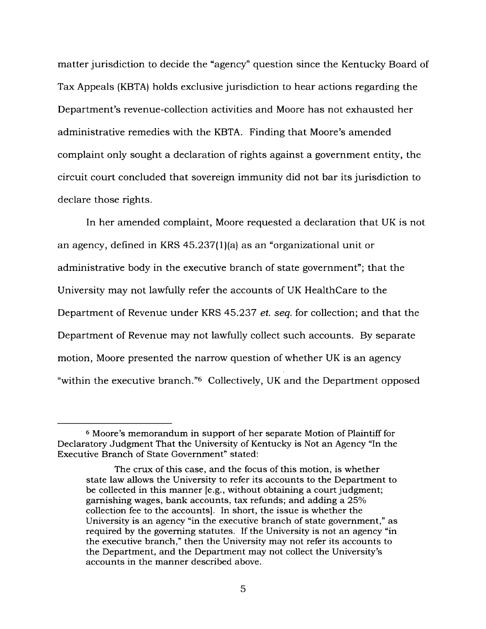matter jurisdiction to decide the "agency" question since the Kentucky Board of Tax Appeals (KBTA) holds exclusive jurisdiction to hear actions regarding the Department's revenue-collection activities and Moore has not exhausted her administrative remedies with the KBTA. Finding that Moore's amended complaint only sought a declaration of rights against a government entity, the circuit court concluded that sovereign immunity did not bar its jurisdiction to declare those rights.

In her amended complaint, Moore requested a declaration that UK is not an agency, defined in KRS 45.237(1)(a) as an "organizational unit or administrative body in the executive branch of state government"; that the University may not lawfully refer the accounts of UK Healthcare to the Department of Revenue under KRS 45.237 *et. seq.* for collection; and that the Department of Revenue may not lawfully collect such accounts. By separate motion, Moore presented the narrow question of whether UK is an agency "within the executive branch."<sup>6</sup> Collectively, UK and the Department opposed

<sup>6</sup> Moore's memorandum in support of her separate Motion of Plaintiff for Declaratory Judgment That the University of Kentucky is Not an Agency "In the Executive Branch of State Government" stated:

The crux of this case, and the focus of this motion, is whether state law allows the University to refer its accounts to the Department to be collected in this manner [e.g., without obtaining a court judgment; garnishing wages, bank accounts, tax refunds; and adding a 25% collection fee to the accounts]. In short, the issue is whether the University is an agency "in the executive branch of state government," as required by the governing statutes. If the University is not an agency "in the executive branch," then the University may not refer its accounts to the Department, and the Department may not collect the University's accounts in the manner described above.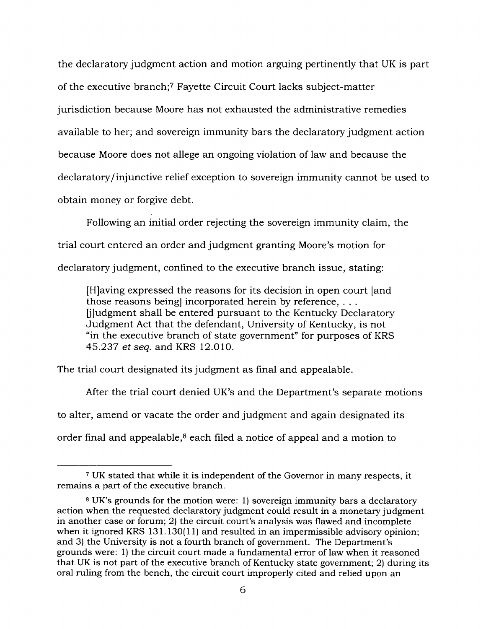the declaratory judgment action and motion arguing pertinently that UK is part of the executive branch;<sup>7</sup> Fayette Circuit Court lacks subject-matter jurisdiction because Moore has not exhausted the administrative remedies available to her; and sovereign immunity bars the declaratory judgment action because Moore does not allege an ongoing violation of law and because the declaratory/injunctive relief exception to sovereign immunity cannot be used to obtain money or forgive debt.

Following an initial order rejecting the sovereign immunity claim, the trial court entered an order and judgment granting Moore's motion for declaratory judgment, confined to the executive branch issue, stating:

[H]aving expressed the reasons for its decision in open court [and those reasons being] incorporated herein by reference, . . . |jJudgment shall be entered pursuant to the Kentucky Declaratory Judgment Act that the defendant, University of Kentucky, is not "in the executive branch of state government" for purposes of KRS 45.237 *et seq.* and KRS 12.010.

The trial court designated its judgment as final and appealable.

After the trial court denied UK's and the Department's separate motions to alter, amend or vacate the order and judgment and again designated its order final and appealable, $8$  each filed a notice of appeal and a motion to

<sup>7</sup> UK stated that while it is independent of the Governor in many respects, it remains a part of the executive branch.

<sup>8</sup> UK's grounds for the motion were: 1) sovereign immunity bars a declaratory action when the requested declaratory judgment could result in a monetary judgment in another case or forum; 2) the circuit court's analysis was flawed and incomplete when it ignored KRS 131.130(11) and resulted in an impermissible advisory opinion; and 3) the University is not a fourth branch of government. The Department's grounds were: 1) the circuit court made a fundamental error of law when it reasoned that UK is not part of the executive branch of Kentucky state government; 2) during its oral ruling from the bench, the circuit court improperly cited and relied upon an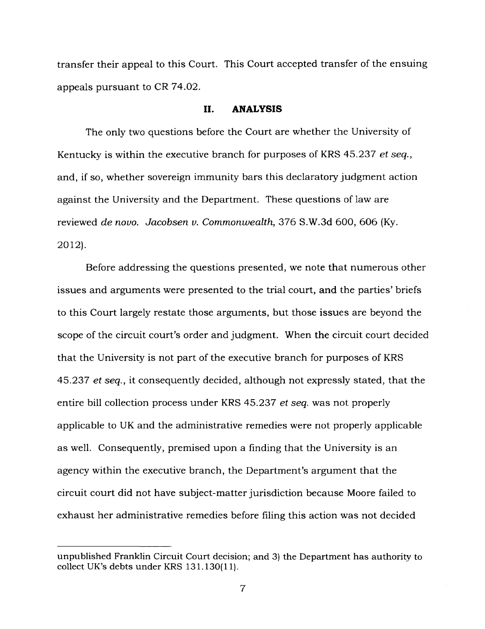transfer their appeal to this Court. This Court accepted transfer of the ensuing appeals pursuant to CR 74.02.

#### **II. ANALYSIS**

The only two questions before the Court are whether the University of Kentucky is within the executive branch for purposes of KRS 45.237 *et seq.,* and, if so, whether sovereign immunity bars this declaratory judgment action against the University and the Department. These questions of law are reviewed *de novo. Jacobsen v. Commonwealth,* 376 S.W.3d 600, 606 (Ky. 2012).

Before addressing the questions presented, we note that numerous other issues and arguments were presented to the trial court, and the parties' briefs to this Court largely restate those arguments, but those issues are beyond the scope of the circuit court's order and judgment. When the circuit court decided that the University is not part of the executive branch for purposes of KRS 45.237 *et seq.,* it consequently decided, although not expressly stated, that the entire bill collection process under KRS 45.237 *et seq.* was not properly applicable to UK and the administrative remedies were not properly applicable as well. Consequently, premised upon a finding that the University is an agency within the executive branch, the Department's argument that the circuit court did not have subject-matter jurisdiction because Moore failed to exhaust her administrative remedies before filing this action was not decided

unpublished Franklin Circuit Court decision; and 3) the Department has authority to collect UK's debts under KRS 131.130(11).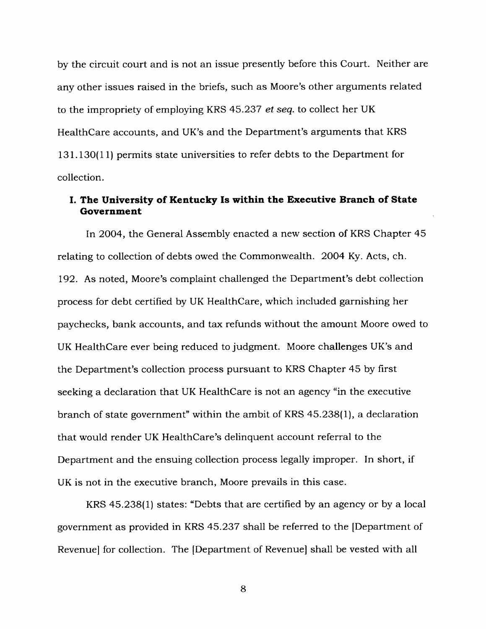by the circuit court and is not an issue presently before this Court. Neither are any other issues raised in the briefs, such as Moore's other arguments related to the impropriety of employing KRS 45.237 *et seq.* to collect her UK Healthcare accounts, and UK's and the Department's arguments that KRS 131.130(11) permits state universities to refer debts to the Department for collection.

# **I. The University of Kentucky Is within the Executive Branch of State Government**

In 2004, the General Assembly enacted a new section of KRS Chapter 45 relating to collection of debts owed the Commonwealth. 2004 Ky. Acts, ch. 192. As noted, Moore's complaint challenged the Department's debt collection process for debt certified by UK Healthcare, which included garnishing her paychecks, bank accounts, and tax refunds without the amount Moore owed to UK Healthcare ever being reduced to judgment. Moore challenges UK's and the Department's collection process pursuant to KRS Chapter 45 by first seeking a declaration that UK Healthcare is not an agency "in the executive branch of state government" within the ambit of KRS 45.238(1), a declaration that would render UK HealthCare's delinquent account referral to the Department and the ensuing collection process legally improper. In short, if UK is not in the executive branch, Moore prevails in this case.

KRS 45.238(1) states: "Debts that are certified by an agency or by a local government as provided in KRS 45.237 shall be referred to the [Department of Revenue] for collection. The [Department of Revenue] shall be vested with all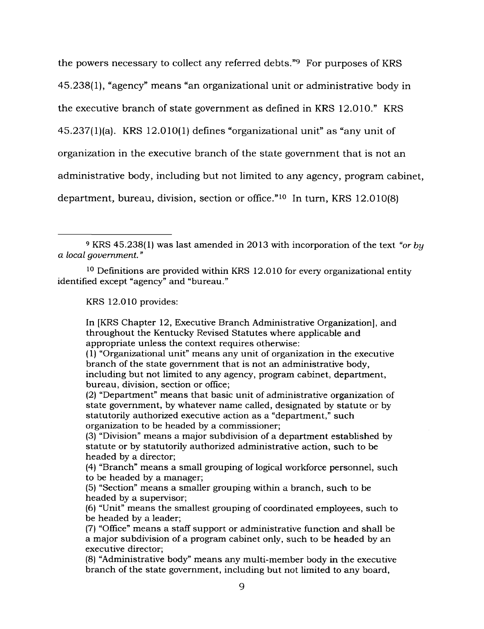the powers necessary to collect any referred debts."<sup>9</sup> For purposes of KRS 45.238(1), "agency" means "an organizational unit or administrative body in the executive branch of state government as defined in KRS 12.010." KRS 45.237(l)(a). KRS 12.010(1) defines "organizational unit" as "any unit of organization in the executive branch of the state government that is not an administrative body, including but not limited to any agency, program cabinet, department, bureau, division, section or office."<sup>10</sup> In turn, KRS 12.010(8)

KRS 12.010 provides:

In [KRS Chapter 12, Executive Branch Administrative Organization], and throughout the Kentucky Revised Statutes where applicable and appropriate unless the context requires otherwise:

(1) "Organizational unit" means any unit of organization in the executive branch of the state government that is not an administrative body, including but not limited to any agency, program cabinet, department, bureau, division, section or office;

(2) "Department" means that basic unit of administrative organization of state government, by whatever name called, designated by statute or by statutorily authorized executive action as a "department," such organization to be headed by a commissioner;

(3) "Division" means a major subdivision of a department established by statute or by statutorily authorized administrative action, such to be headed by a director;

(4) "Branch" means a small grouping of logical workforce personnel, such to be headed by a manager;

(5) "Section" means a smaller grouping within a branch, such to be headed by a supervisor;

(6) "Unit" means the smallest grouping of coordinated employees, such to be headed by a leader;

(7) "Office" means a staff support or administrative function and shall be a major subdivision of a program cabinet only, such to be headed by an executive director;

(8) "Administrative body" means any multi-member body in the executive branch of the state government, including but not limited to any board,

<sup>9</sup> KRS 45.238(1) was last amended in 2013 with incorporation of the text *"or by a local government. "*

<sup>10</sup> Definitions are provided within KRS 12.010 for every organizational entity identified except "agency" and "bureau."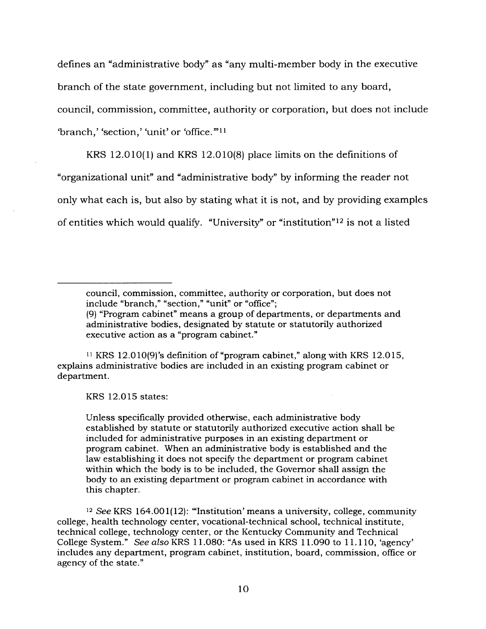defines an "administrative body" as "any multi-member body in the executive branch of the state government, including but not limited to any board, council, commission, committee, authority or corporation, but does not include 'branch,' 'section,' 'unit' or 'office.'"<sup>11</sup>

KRS 12.010(1) and KRS 12.010(8) place limits on the definitions of "organizational unit" and "administrative body" by informing the reader not only what each is, but also by stating what it is not, and by providing examples of entities which would qualify. "University" or "institution"<sup>12</sup> is not a listed

council, commission, committee, authority or corporation, but does not include "branch," "section," "unit" or "office"; (9) "Program cabinet" means a group of departments, or departments and administrative bodies, designated by statute or statutorily authorized executive action as a "program cabinet."

<sup>11</sup> KRS 12.010(9)'s definition of "program cabinet," along with KRS 12.015, explains administrative bodies are included in an existing program cabinet or department.

KRS 12.015 states:

Unless specifically provided otherwise, each administrative body established by statute or statutorily authorized executive action shall be included for administrative purposes in an existing department or program cabinet. When an administrative body is established and the law establishing it does not specify the department or program cabinet within which the body is to be included, the Governor shall assign the body to an existing department or program cabinet in accordance with this chapter.

<sup>12</sup> See KRS 164.001(12): "'Institution'means <sup>a</sup> university, college, community college, health technology center, vocational-technical school, technical institute, technical college, technology center, or the Kentucky Community and Technical College System." See *also* KRS 11.080: "As used in KRS 11.090 to 11.110, 'agency' includes any department, program cabinet, institution, board, commission, office or agency of the state."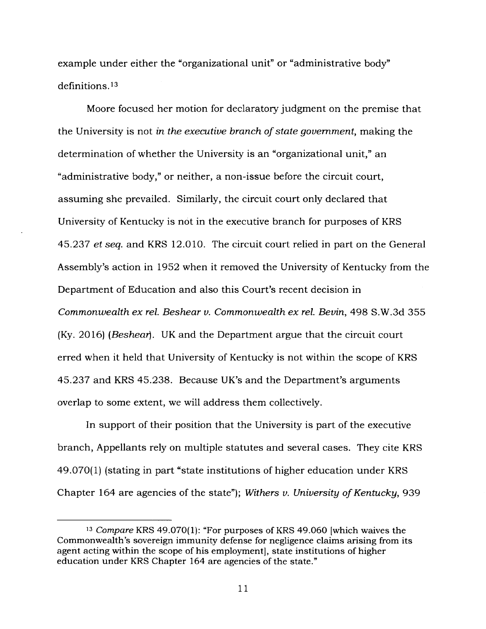example under either the "organizational unit" or "administrative body" definitions.<sup>13</sup>

Moore focused her motion for declaratory judgment on the premise that the University is not *in the executive branch ofstate government,* making the determination of whether the University is an "organizational unit," an "administrative body," or neither, a non-issue before the circuit court, assuming she prevailed. Similarly, the circuit court only declared that University of Kentucky is not in the executive branch for purposes of KRS 45.237 *et seq.* and KRS 12.010. The circuit court relied in part on the General Assembly's action in 1952 when it removed the University of Kentucky from the Department of Education and also this Court's recent decision in *Commonwealth ex rel. Beshear v. Commonwealth ex rel. Bevin,* 498 S.W.3d 355 (Ky. 2016) *(Beshear].* UK and the Department argue that the circuit court erred when it held that University of Kentucky is not within the scope of KRS 45.237 and KRS 45.238. Because UK's and the Department's arguments overlap to some extent, we will address them collectively.

In support of their position that the University is part of the executive branch, Appellants rely on multiple statutes and several cases. They cite KRS 49.070(1) (stating in part "state institutions of higher education under KRS Chapter 164 are agencies of the state"); *Withers v. University* of *Kentucky*, 939

*<sup>13</sup> Compare* KRS 49.070(1): "For purposes of KRS 49.060 [which waives the Commonwealth's sovereign immunity defense for negligence claims arising from its agent acting within the scope of his employment], state institutions of higher education under KRS Chapter 164 are agencies of the state."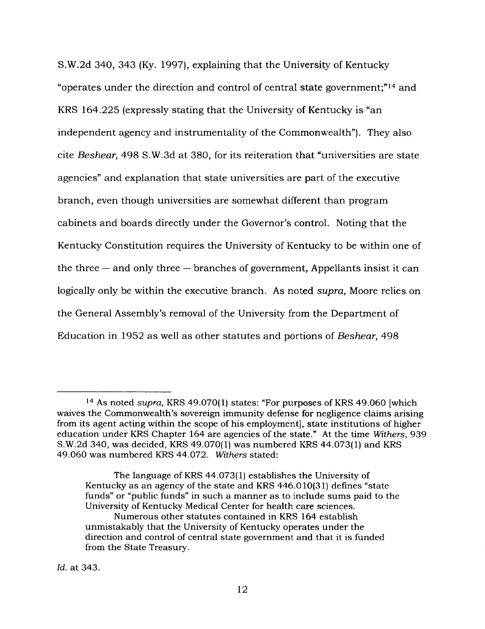S.W.2d 340, 343 (Ky. 1997), explaining that the University of Kentucky "operates under the direction and control of central state government;"<sup>14</sup> and KRS 164.225 (expressly stating that the University of Kentucky is "an independent agency and instrumentality of the Commonwealth"). They also cite *Beshear,* 498 S.W.3d at 380, for its reiteration that "universities are state agencies" and explanation that state universities are part of the executive branch, even though universities are somewhat different than program cabinets and boards directly under the Governor's control. Noting that the Kentucky Constitution requires the University of Kentucky to be within one of the three  $-$  and only three  $-$  branches of government, Appellants insist it can logically only be within the executive branch. As noted *supra,* Moore relies on the General Assembly's removal of the University from the Department of Education in 1952 as well as other statutes and portions of *Beshear,* 498

<sup>14</sup> As noted *supra,* KRS 49.070(1) states: "For purposes of KRS 49.060 [which waives the Commonwealth's sovereign immunity defense for negligence claims arising from its agent acting within the scope of his employment], state institutions of higher education under KRS Chapter 164 are agencies of the state." At the time *Withers,* 939 S.W.2d 340, was decided, KRS 49.070(1) was numbered KRS 44.073(1) and KRS 49.060 was numbered KRS 44.072. *Withers* stated:

The language of KRS 44.073(1) establishes the University of Kentucky as an agency of the state and KRS 446.010(31) defines "state funds" or "public funds" in such a manner as to include sums paid to the University of Kentucky Medical Center for health care sciences. Numerous other statutes contained in KRS 164 establish unmistakably that the University of Kentucky operates under the direction and control of central state government and that it is funded from the State Treasury.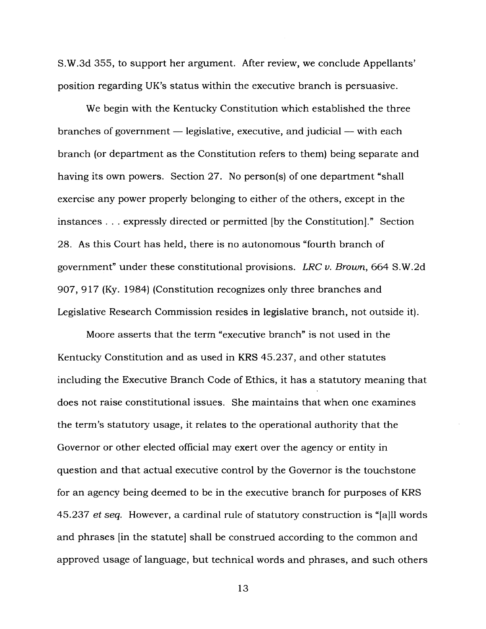S.W.3d 355, to support her argument. After review, we conclude Appellants' position regarding UK's status within the executive branch is persuasive.

We begin with the Kentucky Constitution which established the three branches of government — legislative, executive, and judicial — with each branch (or department as the Constitution refers to them) being separate and having its own powers. Section 27. No person(s) of one department "shall exercise any power properly belonging to either of the others, except in the instances . . . expressly directed or permitted [by the Constitution]." Section 28. As this Court has held, there is no autonomous "fourth branch of government" under these constitutional provisions. *LRC v. Brown,* 664 S.W.2d 907, 917 (Ky. 1984) (Constitution recognizes only three branches and Legislative Research Commission resides in legislative branch, not outside it).

Moore asserts that the term "executive branch" is not used in the Kentucky Constitution and as used in KRS 45.237, and other statutes including the Executive Branch Code of Ethics, it has a statutory meaning that does not raise constitutional issues. She maintains that when one examines the term's statutory usage, it relates to the operational authority that the Governor or other elected official may exert over the agency or entity in question and that actual executive control by the Governor is the touchstone for an agency being deemed to be in the executive branch for purposes of KRS 45.237 *et seq.* However, a cardinal rule of statutory construction is "[a]ll words and phrases [in the statute] shall be construed according to the common and approved usage of language, but technical words and phrases, and such others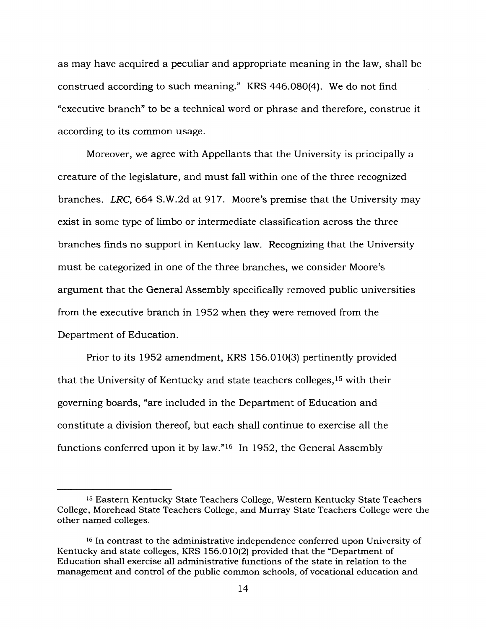as may have acquired a peculiar and appropriate meaning in the law, shall be construed according to such meaning." KRS 446.080(4). We do not find "executive branch" to be a technical word or phrase and therefore, construe it according to its common usage.

Moreover, we agree with Appellants that the University is principally a creature of the legislature, and must fall within one of the three recognized branches. *LRC,* 664 S.W.2d at 917. Moore's premise that the University may exist in some type of limbo or intermediate classification across the three branches finds no support in Kentucky law. Recognizing that the University must be categorized in one of the three branches, we consider Moore's argument that the General Assembly specifically removed public universities from the executive branch in 1952 when they were removed from the Department of Education.

Prior to its 1952 amendment, KRS 156.010(3) pertinently provided that the University of Kentucky and state teachers colleges,<sup>15</sup> with their governing boards, "are included in the Department of Education and constitute a division thereof, but each shall continue to exercise all the functions conferred upon it by law."<sup>16</sup> In 1952, the General Assembly

<sup>15</sup> Eastern Kentucky State Teachers College, Western Kentucky State Teachers College, Morehead State Teachers College, and Murray State Teachers College were the other named colleges.

<sup>16</sup> In contrast to the administrative independence conferred upon University of Kentucky and state colleges, KRS 156.010(2) provided that the "Department of Education shall exercise all administrative functions of the state in relation to the management and control of the public common schools, of vocational education and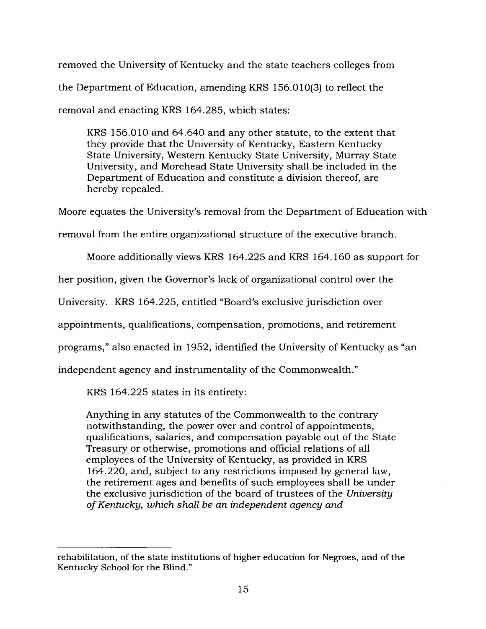removed the University of Kentucky and the state teachers colleges from the Department of Education, amending KRS 156.010(3) to reflect the removal and enacting KRS 164.285, which states:

KRS 156.010 and 64.640 and any other statute, to the extent that they provide that the University of Kentucky, Eastern Kentucky State University, Western Kentucky State University, Murray State University, and Morehead State University shall be included in the Department of Education and constitute a division thereof, are hereby repealed.

Moore equates the University's removal from the Department of Education with

removal from the entire organizational structure of the executive branch.

Moore additionally views KRS 164.225 and KRS 164.160 as support for

her position, given the Governor's lack of organizational control over the

University. KRS 164.225, entitled "Board's exclusive jurisdiction over

appointments, qualifications, compensation, promotions, and retirement

programs," also enacted in 1952, identified the University of Kentucky as "an

independent agency and instrumentality of the Commonwealth."

KRS 164.225 states in its entirety:

Anything in any statutes of the Commonwealth to the contrary notwithstanding, the power over and control of appointments, qualifications, salaries, and compensation payable out of the State Treasury or otherwise, promotions and official relations of all employees of the University of Kentucky, as provided in KRS 164.220, and, subject to any restrictions imposed by general law, the retirement ages and benefits of such employees shall be under the exclusive jurisdiction of the board of trustees of the *University ofKentucky, which shall be an independent agency and*

rehabilitation, of the state institutions of higher education for Negroes, and of the Kentucky School for the Blind."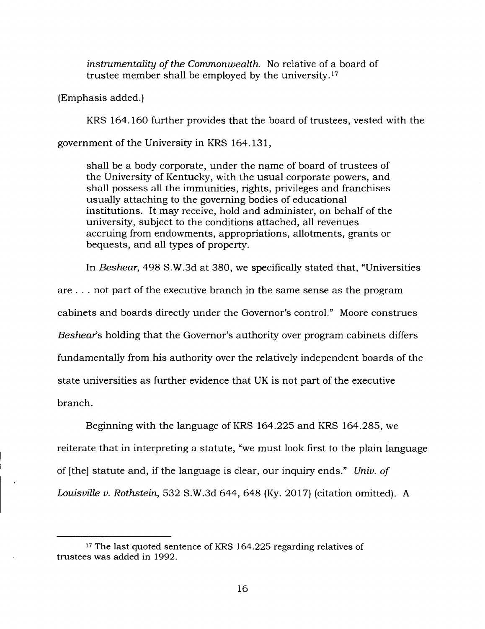*instrumentality ofthe Commonwealth.* No relative of a board of trustee member shall be employed by the university.<sup>17</sup>

(Emphasis added.)

KRS 164.160 further provides that the board of trustees, vested with the

government of the University in KRS 164.131,

shall be a body corporate, under the name of board of trustees of the University of Kentucky, with the usual corporate powers, and shall possess all the immunities, rights, privileges and franchises usually attaching to the governing bodies of educational institutions. It may receive, hold and administer, on behalf of the university, subject to the conditions attached, all revenues accruing from endowments, appropriations, allotments, grants or bequests, and all types of property.

In *Beshear,* 498 S.W.3d at 380, we specifically stated that, "Universities

are . . . not part of the executive branch in the same sense as the program cabinets and boards directly under the Governor's control." Moore construes *Beshear's* holding that the Governor's authority over program cabinets differs fundamentally from his authority over the relatively independent boards of the state universities as further evidence that UK is not part of the executive branch.

Beginning with the language of KRS 164.225 and KRS 164.285, we reiterate that in interpreting a statute, "we must look first to the plain language of [the] statute and, if the language is clear, our inquiry ends." *Univ. of Louisville v. Rothstein,* 532 S.W.3d 644, 648 (Ky. 2017) (citation omitted). A

<sup>&</sup>lt;sup>17</sup> The last quoted sentence of KRS 164.225 regarding relatives of trustees was added in 1992.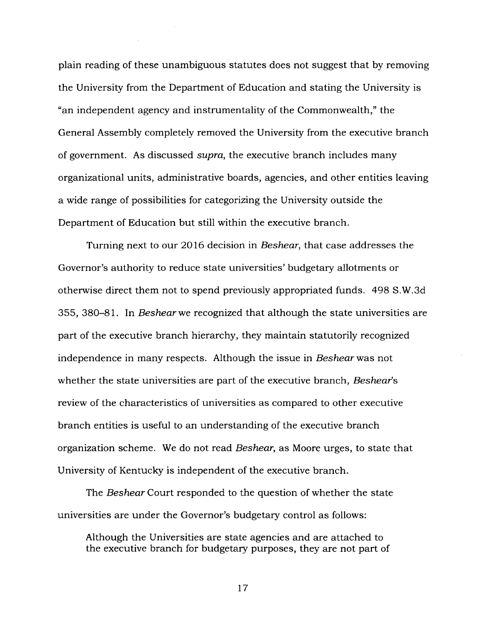plain reading of these unambiguous statutes does not suggest that by removing the University from the Department of Education and stating the University is "an independent agency and instrumentality of the Commonwealth," the General Assembly completely removed the University from the executive branch of government. As discussed *supra,* the executive branch includes many organizational units, administrative boards, agencies, and other entities leaving a wide range of possibilities for categorizing the University outside the Department of Education but still within the executive branch.

Turning next to our 2016 decision in *Beshear,* that case addresses the Governor's authority to reduce state universities' budgetary allotments or otherwise direct them not to spend previously appropriated funds. 498 S.W.3d 355, 380-81. In *Beshear we* recognized that although the state universities are part of the executive branch hierarchy, they maintain statutorily recognized independence in many respects. Although the issue in *Beshear* was not whether the state universities are part of the executive branch, *Besheafs* review of the characteristics of universities as compared to other executive branch entities is useful to an understanding of the executive branch organization scheme. We do not read *Beshear,* as Moore urges, to state that University of Kentucky is independent of the executive branch.

The *Beshear* Court responded to the question of whether the state universities are under the Governor's budgetary control as follows:

Although the Universities are state agencies and are attached to the executive branch for budgetary purposes, they are not part of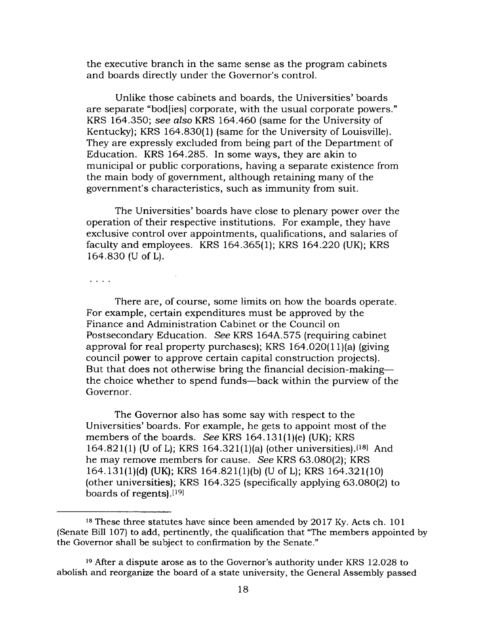the executive branch in the same sense as the program cabinets and boards directly under the Governor's control.

Unlike those cabinets and boards, the Universities' boards are separate "bod[ies] corporate, with the usual corporate powers." KRS 164.350; *see also* KRS 164.460 (same for the University of Kentucky); KRS 164.830(1) (same for the University of Louisville). They are expressly excluded from being part of the Department of Education. KRS 164.285. In some ways, they are akin to municipal or public corporations, having a separate existence from the main body of government, although retaining many of the government's characteristics, such as immunity from suit.

The Universities' boards have close to plenary power over the operation of their respective institutions. For example, they have exclusive control over appointments, qualifications, and salaries of faculty and employees. KRS 164.365(1); KRS 164.220 (UK); KRS 164.830 (U of L).

 $\overline{\mathcal{C}}$  .  $\overline{\mathcal{C}}$  .

There are, of course, some limits on how the boards operate. For example, certain expenditures must be approved by the Finance and Administration Cabinet or the Council on Postsecondary Education. See KRS 164A.575 (requiring cabinet approval for real property purchases); KRS 164.020(1 l)(a) (giving council power to approve certain capital construction projects). But that does not otherwise bring the financial decision-making the choice whether to spend funds—back within the purview of the Governor.

The Governor also has some say with respect to the Universities' boards. For example, he gets to appoint most of the members of the boards. *See* KRS 164.131(1)(e) (UK); KRS 164.821(1) (U of L); KRS 164.321(1)(a) (other universities).<sup>[18]</sup> And he may remove members for cause. *See* KRS 63.080(2); KRS 164.131(l)(d) (UK); KRS 164.821 (l)(b) (U of L); KRS 164.321(10) (other universities); KRS 164.325 (specifically applying 63.080(2) to boards of regents). $[19]$ 

<sup>18</sup> These three statutes have since been amended by 2017 Ky. Acts ch. 101 (Senate Bill 107) to add, pertinently, the qualification that "The members appointed by the Governor shall be subject to confirmation by the Senate."

<sup>19</sup> After a dispute arose as to the Governor's authority under KRS 12.028 to abolish and reorganize the board of a state university, the General Assembly passed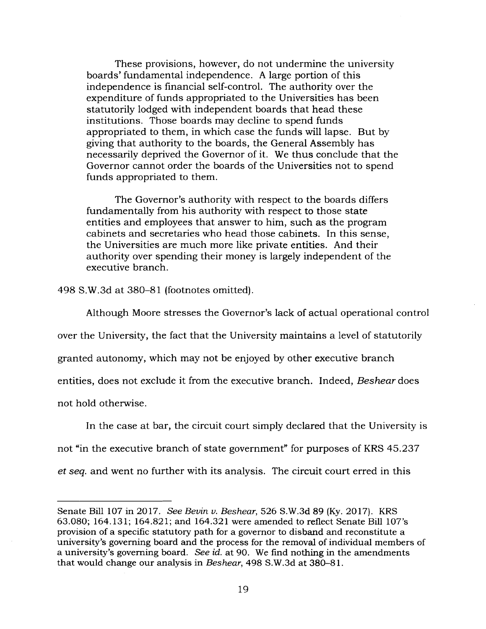These provisions, however, do not undermine the university boards' fundamental independence. A large portion of this independence is financial self-control. The authority over the expenditure of funds appropriated to the Universities has been statutorily lodged with independent boards that head these institutions. Those boards may decline to spend funds appropriated to them, in which case the funds will lapse. But by giving that authority to the boards, the General Assembly has necessarily deprived the Governor of it. We thus conclude that the Governor cannot order the boards of the Universities not to spend funds appropriated to them.

The Governor's authority with respect to the boards differs fundamentally from his authority with respect to those state entities and employees that answer to him, such as the program cabinets and secretaries who head those cabinets. In this sense, the Universities are much more like private entities. And their authority over spending their money is largely independent of the executive branch.

498 S.W.3d at 380-81 (footnotes omitted).

Although Moore stresses the Governor's lack of actual operational control over the University, the fact that the University maintains a level of statutorily granted autonomy, which may not be enjoyed by other executive branch entities, does not exclude it from the executive branch. Indeed, *Beshear* does not hold otherwise.

In the case at bar, the circuit court simply declared that the University is not "in the executive branch of state government" for purposes of KRS 45.237 ef *seq.* and went no further with its analysis. The circuit court erred in this

Senate Bill 107 in 2017. *See Bevin v. Beshear,* 526 S.W.3d 89 (Ky. 2017). KRS 63.080; 164.131; 164.821; and 164.321 were amended to reflect Senate Bill 107's provision of a specific statutory path for a governor to disband and reconstitute a university's governing board and the process for the removal of individual members of a university's governing board. *See id.* at 90. We find nothing in the amendments that would change our analysis in *Beshear,* 498 S.W.3d at 380-81.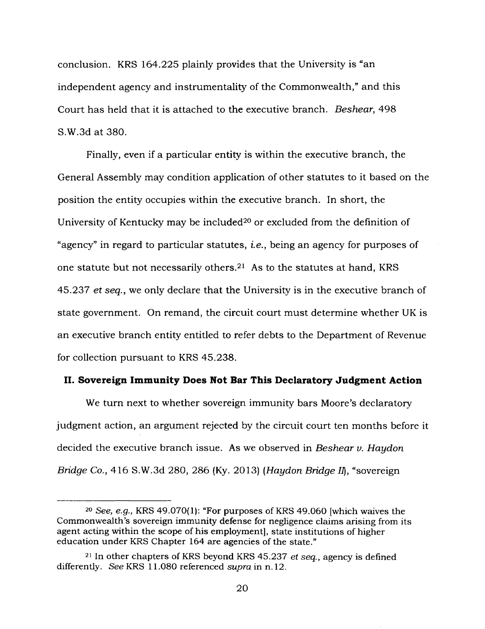conclusion. KRS 164.225 plainly provides that the University is "an independent agency and instrumentality of the Commonwealth," and this Court has held that it is attached to the executive branch. *Beshear,* 498 S.W.3d at 380.

Finally, even if a particular entity is within the executive branch, the General Assembly may condition application of other statutes to it based on the position the entity occupies within the executive branch. In short, the University of Kentucky may be included<sup>20</sup> or excluded from the definition of "agency" in regard to particular statutes, *i.e.,* being an agency for purposes of one statute but not necessarily others.<sup>21</sup> As to the statutes at hand, KRS 45.237 *et seq.,* we only declare that the University is in the executive branch of state government. On remand, the circuit court must determine whether UK is an executive branch entity entitled to refer debts to the Department of Revenue for collection pursuant to KRS 45.238.

#### **II. Sovereign Immunity Does Not Bar This Declaratory Judgment Action**

We turn next to whether sovereign immunity bars Moore's declaratory judgment action, an argument rejected by the circuit court ten months before it decided the executive branch issue. As we observed in *Beshear v. Haydon Bridge Co.,* 416 S.W.3d 280, 286 (Ky. 2013) *(Haydon Bridge II},* "sovereign

*<sup>20</sup> See, e.g.,* KRS 49.070(1): "For purposes of KRS 49.060 [which waives the Commonwealth's sovereign immunity defense for negligence claims arising from its agent acting within the scope of his employment], state institutions of higher education under KRS Chapter 164 are agencies of the state."

<sup>21</sup> In other chapters of KRS beyond KRS 45.237 *et seq.,* agency is defined differently. *See* KRS 11.080 referenced *supra* in n. 12.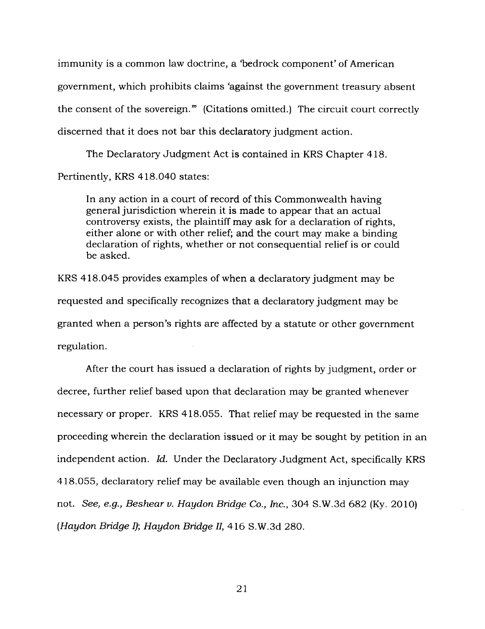immunity is a common law doctrine, a 'bedrock component' of American government, which prohibits claims 'against the government treasury absent the consent of the sovereign." (Citations omitted.) The circuit court correctly discerned that it does not bar this declaratory judgment action.

The Declaratory Judgment Act is contained in KRS Chapter 418.

Pertinently, KRS 418.040 states:

In any action in a court of record of this Commonwealth having general jurisdiction wherein it is made to appear that an actual controversy exists, the plaintiff may ask for a declaration of rights, either alone or with other relief; and the court may make a binding declaration of rights, whether or not consequential relief is or could be asked.

KRS 418.045 provides examples of when a declaratory judgment may be requested and specifically recognizes that a declaratory judgment may be granted when a person's rights are affected by a statute or other government regulation.

After the court has issued a declaration of rights by judgment, order or decree, further relief based upon that declaration may be granted whenever necessary or proper. KRS 418.055. That relief may be requested in the same proceeding wherein the declaration issued or it may be sought by petition in an independent action. *Id.* Under the Declaratory Judgment Act, specifically KRS 418.055, declaratory relief may be available even though an injunction may not. *See, e.g., Beshear v. Haydon Bridge Co., Inc.,* 304 S.W.3d 682 (Ky. 2010) *(Haydon Bridge I); Haydon Bridge II,* 416 S.W.3d 280.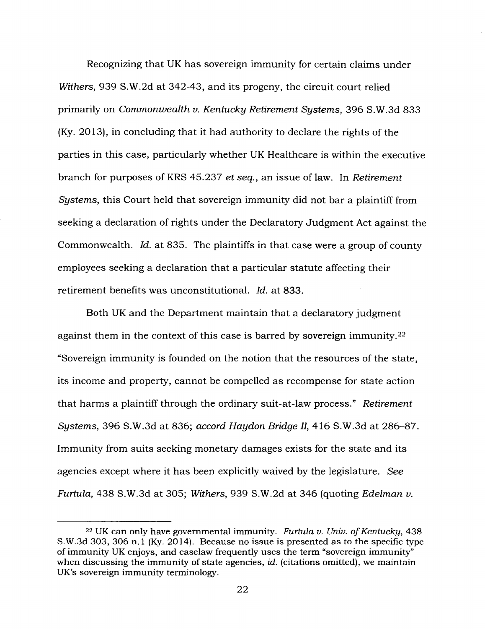Recognizing that UK has sovereign immunity for certain claims under *Withers,* 939 S.W.2d at 342-43, and its progeny, the circuit court relied primarily on *Commonwealth v. Kentucky Retirement Systems,* 396 S.W.3d 833 (Ky. 2013), in concluding that it had authority to declare the rights of the parties in this case, particularly whether UK Healthcare is within the executive branch for purposes of KRS 45.237 *et seq.,* an issue of law. In *Retirement Systems,* this Court held that sovereign immunity did not bar a plaintiff from seeking a declaration of rights under the Declaratory Judgment Act against the Commonwealth. *Id.* at 835. The plaintiffs in that case were a group of county employees seeking a declaration that a particular statute affecting their retirement benefits was unconstitutional. *Id.* at 833.

Both UK and the Department maintain that a declaratory judgment against them in the context of this case is barred by sovereign immunity.<sup>22</sup> "Sovereign immunity is founded on the notion that the resources of the state, its income and property, cannot be compelled as recompense for state action that harms a plaintiff through the ordinary suit-at-law process." *Retirement Systems,* 396 S.W.3d at 836; *accord Haydon Bridge II,* 416 S.W.3d at 286-87. Immunity from suits seeking monetary damages exists for the state and its agencies except where it has been explicitly waived by the legislature. *See Furtula,* 438 S.W.3d at 305; *Withers,* 939 S.W.2d at 346 (quoting *Edelman v.*

<sup>22</sup> UK can only have governmental immunity. *Furtula v. Univ. ofKentucky,* 438 S.W.3d 303, 306 n. <sup>1</sup> (Ky. 2014). Because no issue is presented as to the specific type of immunity UK enjoys, and caselaw frequently uses the term "sovereign immunity" when discussing the immunity of state agencies, *id.* (citations omitted), we maintain UK's sovereign immunity terminology.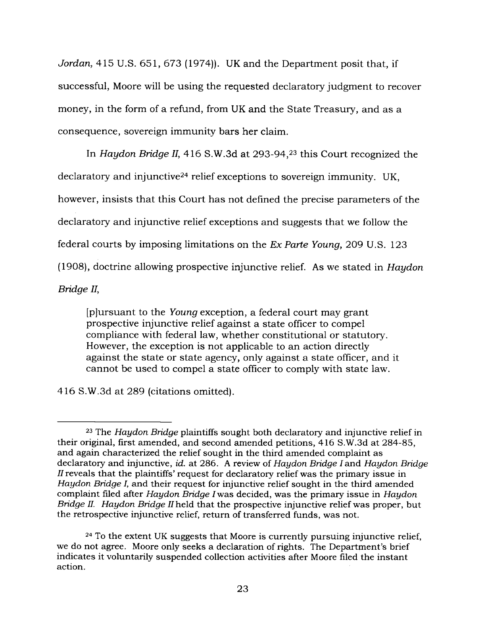*Jordan,* 415 U.S. 651, 673 (1974)). UK and the Department posit that, if successful, Moore will be using the requested declaratory judgment to recover money, in the form of a refund, from UK and the State Treasury, and as a consequence, sovereign immunity bars her claim.

In *Haydon Bridge II,* 416 S.W.3d at 293-94,<sup>23</sup> this Court recognized the declaratory and injunctive<sup>24</sup> relief exceptions to sovereign immunity. UK, however, insists that this Court has not defined the precise parameters of the declaratory and injunctive relief exceptions and suggests that we follow the federal courts by imposing limitations on the *Ex Parte Young,* 209 U.S. 123 (1908), doctrine allowing prospective injunctive relief. As we stated in *Haydon Bridge II,*

[p]ursuant to the *Young* exception, a federal court may grant prospective injunctive relief against a state officer to compel compliance with federal law, whether constitutional or statutory. However, the exception is not applicable to an action directly against the state or state agency, only against a state officer, and it cannot be used to compel a state officer to comply with state law.

416 S.W.3d at 289 (citations omitted).

<sup>23</sup> The *Haydon Bridge* plaintiffs sought both declaratory and injunctive relief in their original, first amended, and second amended petitions, 416 S.W.3d at 284-85, and again characterized the relief sought in the third amended complaint as declaratory and injunctive, *id.* at 286. A review of *Haydon Bridge* /and *Haydon Bridge reveals that the plaintiffs' request for declaratory relief was the primary issue in Haydon Bridge I,* and their request for injunctive relief sought in the third amended complaint filed after *Haydon Bridge Iwas* decided, was the primary issue in *Haydon Bridge II. Haydon Bridge II* held that the prospective injunctive relief was proper, but the retrospective injunctive relief, return of transferred funds, was not.

<sup>24</sup> To the extent UK suggests that Moore is currently pursuing injunctive relief, we do not agree. Moore only seeks a declaration of rights. The Department's brief indicates it voluntarily suspended collection activities after Moore filed the instant action.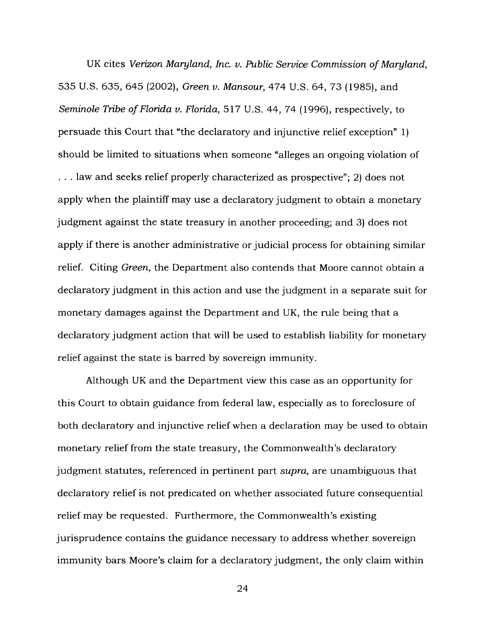UK cites *Verizon Maryland, Inc. v. Public Service Commission ofMaryland,* 535 U.S. 635, 645 (2002), *Green v. Mansour,* 474 U.S. 64, 73 (1985), and *Seminole Tribe ofFlorida v. Florida,* 517 U.S. 44, 74 (1996), respectively, to persuade this Court that "the declaratory and injunctive relief exception" 1) should be limited to situations when someone "alleges an ongoing violation of . . . law and seeks relief properly characterized as prospective"; 2) does not apply when the plaintiff may use a declaratory judgment to obtain a monetary judgment against the state treasury in another proceeding; and 3) does not apply if there is another administrative or judicial process for obtaining similar relief. Citing *Green,* the Department also contends that Moore cannot obtain a declaratory judgment in this action and use the judgment in a separate suit for monetary damages against the Department and UK, the rule being that a declaratory judgment action that will be used to establish liability for monetary relief against the state is barred by sovereign immunity.

Although UK and the Department view this case as an opportunity for this Court to obtain guidance from federal law, especially as to foreclosure of both declaratory and injunctive relief when a declaration may be used to obtain monetary relief from the state treasury, the Commonwealth's declaratory judgment statutes, referenced in pertinent part *supra,* are unambiguous that declaratory relief is not predicated on whether associated future consequential relief may be requested. Furthermore, the Commonwealth's existing jurisprudence contains the guidance necessary to address whether sovereign immunity bars Moore's claim for a declaratory judgment, the only claim within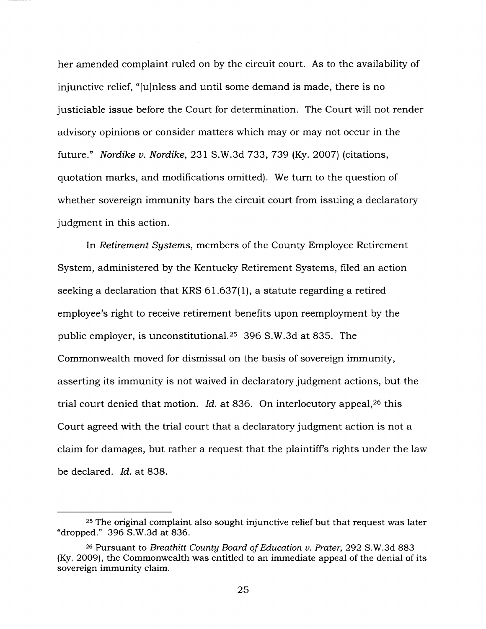her amended complaint ruled on by the circuit court. As to the availability of injunctive relief, "[u]nless and until some demand is made, there is no justiciable issue before the Court for determination. The Court will not render advisory opinions or consider matters which may or may not occur in the future." *Nordike v. Nordike,* 231 S.W.3d 733, 739 (Ky. 2007) (citations, quotation marks, and modifications omitted). We turn to the question of whether sovereign immunity bars the circuit court from issuing a declaratory judgment in this action.

In *Retirement Systems,* members of the County Employee Retirement System, administered by the Kentucky Retirement Systems, filed an action seeking a declaration that KRS 61.637(1), a statute regarding a retired employee's right to receive retirement benefits upon reemployment by the public employer, is unconstitutional.<sup>25</sup> 396 S.W.3d at 835. The Commonwealth moved for dismissal on the basis of sovereign immunity, asserting its immunity is not waived in declaratory judgment actions, but the trial court denied that motion. *Id.* at 836. On interlocutory appeal,<sup>26</sup> this Court agreed with the trial court that a declaratory judgment action is not a claim for damages, but rather a request that the plaintiffs rights under the law be declared. *Id.* at 838.

<sup>25</sup> The original complaint also sought injunctive relief but that request was later "dropped." 396 S.W.3d at 836.

<sup>26</sup> Pursuant to *Breathitt County Board ofEducation v. Prater,* 292 S.W.3d 883 (Ky. 2009), the Commonwealth was entitled to an immediate appeal of the denial of its sovereign immunity claim.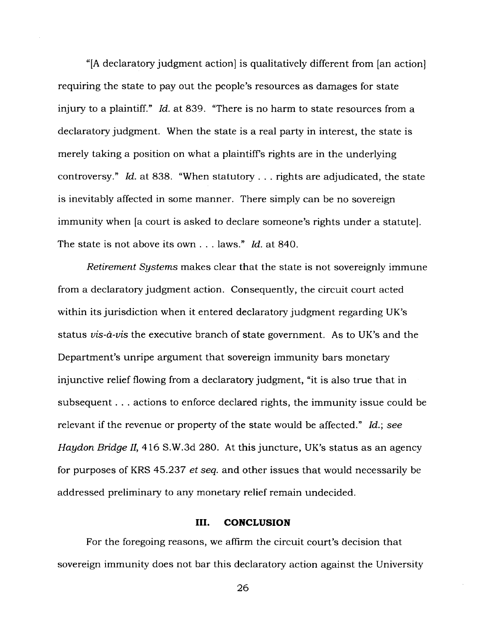"[A declaratory judgment action] is qualitatively different from [an action] requiring the state to pay out the people's resources as damages for state injury to a plaintiff." *Id.* at 839. "There is no harm to state resources from a declaratory judgment. When the state is a real party in interest, the state is merely taking a position on what a plaintiffs rights are in the underlying controversy." *Id.* at 838. "When statutory . . . rights are adjudicated, the state is inevitably affected in some manner. There simply can be no sovereign immunity when [a court is asked to declare someone's rights under a statute]. The state is not above its own . . . laws." *Id.* at 840.

*Retirement Systems* makes clear that the state is not sovereignly immune from a declaratory judgment action. Consequently, the circuit court acted within its jurisdiction when it entered declaratory judgment regarding UK's status *vis-a-vis* the executive branch of state government. As to UK's and the Department's unripe argument that sovereign immunity bars monetary injunctive relief flowing from a declaratory judgment, "it is also true that in subsequent . . . actions to enforce declared rights, the immunity issue could be relevant if the revenue or property of the state would be affected." *Id.; see Haydon Bridge II,* 416 S.W.3d 280. At this juncture, UK's status as an agency for purposes of KRS 45.237 *et seq.* and other issues that would necessarily be addressed preliminary to any monetary relief remain undecided.

#### **III. CONCLUSION**

For the foregoing reasons, we affirm the circuit court's decision that sovereign immunity does not bar this declaratory action against the University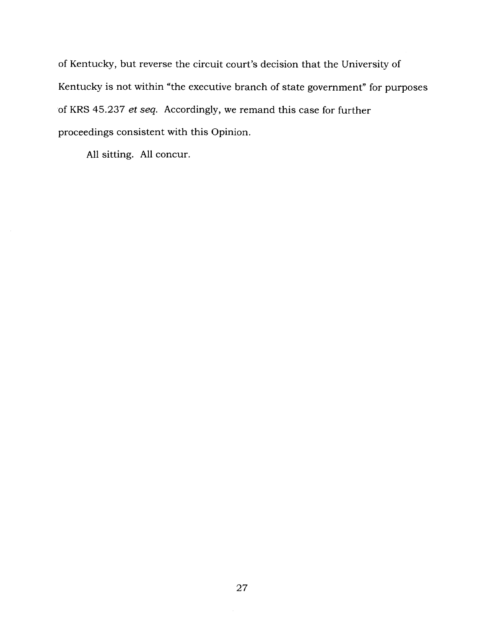of Kentucky, but reverse the circuit court's decision that the University of Kentucky is not within "the executive branch of state government" for purposes of KRS 45.237 *et seq.* Accordingly, we remand this case for further proceedings consistent with this Opinion.

All sitting. All concur.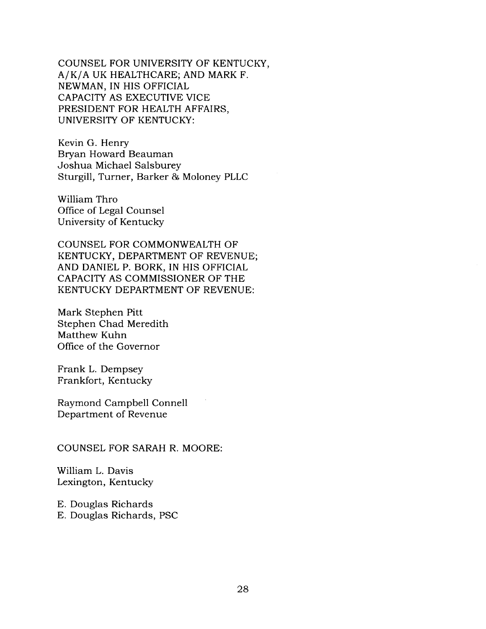COUNSEL FOR UNIVERSITY OF KENTUCKY, A/K/A UK HEALTHCARE; AND MARK F. NEWMAN, IN HIS OFFICIAL CAPACITY AS EXECUTIVE VICE PRESIDENT FOR HEALTH AFFAIRS, UNIVERSITY OF KENTUCKY:

Kevin G. Henry Bryan Howard Beauman Joshua Michael Salsburey Sturgill, Turner, Barker & Moloney PLLC

William Thro Office of Legal Counsel University of Kentucky

COUNSEL FOR COMMONWEALTH OF KENTUCKY, DEPARTMENT OF REVENUE; AND DANIEL P. BORK, IN HIS OFFICIAL CAPACITY AS COMMISSIONER OF THE KENTUCKY DEPARTMENT OF REVENUE:

Mark Stephen Pitt Stephen Chad Meredith Matthew Kuhn Office of the Governor

Frank L. Dempsey Frankfort, Kentucky

Raymond Campbell Connell Department of Revenue

COUNSEL FOR SARAH R. MOORE:

William L. Davis Lexington, Kentucky

E. Douglas Richards E. Douglas Richards, PSC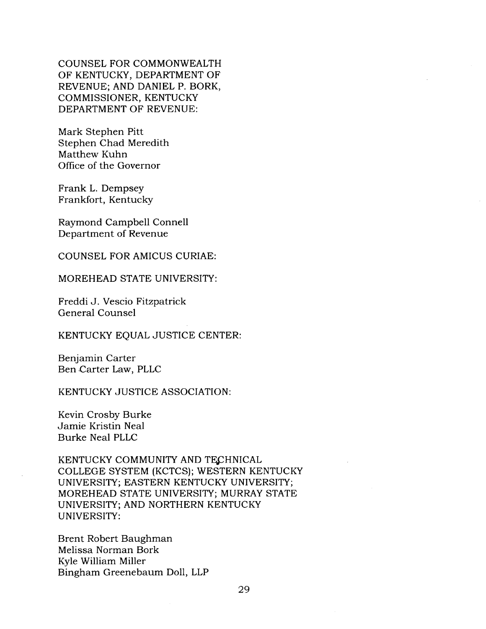COUNSEL FOR COMMONWEALTH OF KENTUCKY, DEPARTMENT OF REVENUE; AND DANIEL P. BORK, COMMISSIONER, KENTUCKY DEPARTMENT OF REVENUE:

Mark Stephen Pitt Stephen Chad Meredith Matthew Kuhn Office of the Governor

Frank L. Dempsey Frankfort, Kentucky

Raymond Campbell Connell Department of Revenue

COUNSEL FOR AMICUS CURIAE:

MOREHEAD STATE UNIVERSITY:

Freddi J. Vescio Fitzpatrick General Counsel

KENTUCKY EQUAL JUSTICE CENTER:

Benjamin Carter Ben Carter Law, PLLC

KENTUCKY JUSTICE ASSOCIATION:

Kevin Crosby Burke Jamie Kristin Neal Burke Neal PLLC

KENTUCKY COMMUNITY AND TECHNICAL COLLEGE SYSTEM (KCTCS); WESTERN KENTUCKY UNIVERSITY; EASTERN KENTUCKY UNIVERSITY; MOREHEAD STATE UNIVERSITY; MURRAY STATE UNIVERSITY; AND NORTHERN KENTUCKY UNIVERSITY:

Brent Robert Baughman Melissa Norman Bork Kyle William Miller Bingham Greenebaum Doll, LLP